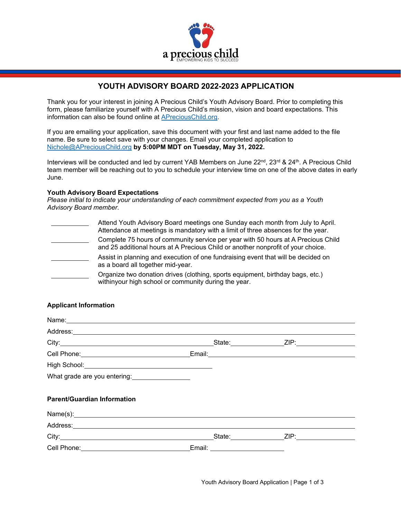

# **YOUTH ADVISORY BOARD 2022-2023 APPLICATION**

Thank you for your interest in joining A Precious Child's Youth Advisory Board. Prior to completing this form, please familiarize yourself with A Precious Child's mission, vision and board expectations. This information can also be found online at [APreciousChild.org.](https://apreciouschild.org/)

If you are emailing your application, save this document with your first and last name added to the file name. Be sure to select save with your changes. Email your completed application to [Nichole@APreciousChild.org](mailto:Nichole@APreciousChild.org) **by 5:00PM MDT on Tuesday, May 31, 2022.**

Interviews will be conducted and led by current YAB Members on June 22<sup>nd</sup>, 23<sup>rd</sup> & 24<sup>th</sup>. A Precious Child team member will be reaching out to you to schedule your interview time on one of the above dates in early June.

## **Youth Advisory Board Expectations**

*Please initial to indicate your understanding of each commitment expected from you as a Youth Advisory Board member.*

Attend Youth Advisory Board meetings one Sunday each month from July to April. Attendance at meetings is mandatory with a limit of three absences for the year. Complete 75 hours of community service per year with 50 hours at A Precious Child and 25 additional hours at A Precious Child or another nonprofit of your choice. Assist in planning and execution of one fundraising event that will be decided on as a board all together mid-year. Organize two donation drives (clothing, sports equipment, birthday bags, etc.) withinyour high school or community during the year.

## **Applicant Information**

|                                                      | State: ZIP:                     |  |
|------------------------------------------------------|---------------------------------|--|
| Cell Phone: <u>_________________________________</u> |                                 |  |
|                                                      |                                 |  |
|                                                      |                                 |  |
| <b>Parent/Guardian Information</b>                   |                                 |  |
| Name(s): 1                                           |                                 |  |
|                                                      |                                 |  |
|                                                      | State: ZIP: ZIP:                |  |
| Cell Phone: <u>________________________</u>          | Email: <u>_________________</u> |  |